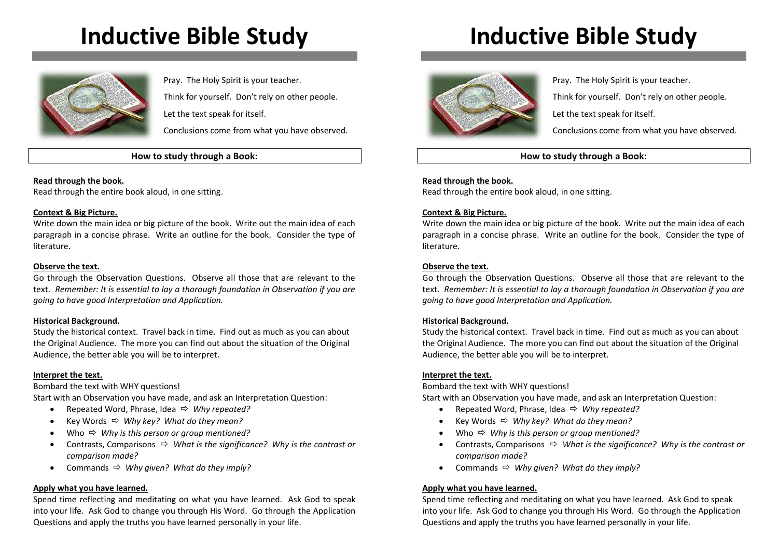# **Inductive Bible Study**



Pray. The Holy Spirit is your teacher. Think for yourself. Don't rely on other people. Let the text speak for itself.

Conclusions come from what you have observed.

#### **How to study through a Book:**

**Read through the book.**

Read through the entire book aloud, in one sitting.

#### **Context & Big Picture.**

Write down the main idea or big picture of the book. Write out the main idea of each paragraph in a concise phrase. Write an outline for the book. Consider the type of literature.

#### **Observe the text.**

Go through the Observation Questions. Observe all those that are relevant to the text. *Remember: It is essential to lay a thorough foundation in Observation if you are going to have good Interpretation and Application.*

#### **Historical Background.**

Study the historical context. Travel back in time. Find out as much as you can about the Original Audience. The more you can find out about the situation of the Original Audience, the better able you will be to interpret.

#### **Interpret the text.**

Bombard the text with WHY questions!

Start with an Observation you have made, and ask an Interpretation Question:

- Repeated Word, Phrase, Idea *Why repeated?*
- Key Words *Why key? What do they mean?*
- Who *Why is this person or group mentioned?*
- Contrasts, Comparisons *What is the significance? Why is the contrast or comparison made?*
- Commands  $\Leftrightarrow$  Why given? What do they imply?

#### **Apply what you have learned.**

Spend time reflecting and meditating on what you have learned. Ask God to speak into your life. Ask God to change you through His Word. Go through the Application Questions and apply the truths you have learned personally in your life.

## **Inductive Bible Study**



Pray. The Holy Spirit is your teacher.

Think for yourself. Don't rely on other people.

Let the text speak for itself.

Conclusions come from what you have observed.

### **How to study through a Book:**

#### **Read through the book.**

Read through the entire book aloud, in one sitting.

#### **Context & Big Picture.**

Write down the main idea or big picture of the book. Write out the main idea of each paragraph in a concise phrase. Write an outline for the book. Consider the type of literature.

#### **Observe the text.**

Go through the Observation Questions. Observe all those that are relevant to the text. *Remember: It is essential to lay a thorough foundation in Observation if you are going to have good Interpretation and Application.*

#### **Historical Background.**

Study the historical context. Travel back in time. Find out as much as you can about the Original Audience. The more you can find out about the situation of the Original Audience, the better able you will be to interpret.

#### **Interpret the text.**

Bombard the text with WHY questions!

Start with an Observation you have made, and ask an Interpretation Question:

- Repeated Word, Phrase, Idea *Why repeated?*
- Key Words *Why key? What do they mean?*
- Who *Why is this person or group mentioned?*
- Contrasts, Comparisons *What is the significance? Why is the contrast or comparison made?*
- Commands  $\Leftrightarrow$  Why given? What do they imply?

#### **Apply what you have learned.**

Spend time reflecting and meditating on what you have learned. Ask God to speak into your life. Ask God to change you through His Word. Go through the Application Questions and apply the truths you have learned personally in your life.